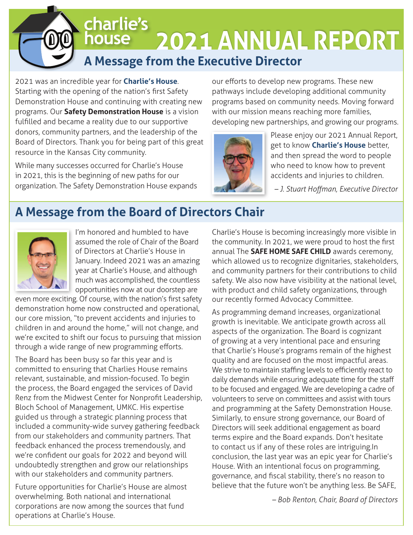# charlie's **2021 ANNUAL REPORT** house

# **A Message from the Executive Director**

2021 was an incredible year for **Charlie's House**. Starting with the opening of the nation's first Safety Demonstration House and continuing with creating new programs. Our **Safety Demonstration House** is a vision fulfilled and became a reality due to our supportive donors, community partners, and the leadership of the Board of Directors. Thank you for being part of this great resource in the Kansas City community.

While many successes occurred for Charlie's House in 2021, this is the beginning of new paths for our organization. The Safety Demonstration House expands our efforts to develop new programs. These new pathways include developing additional community programs based on community needs. Moving forward with our mission means reaching more families, developing new partnerships, and growing our programs.



Please enjoy our 2021 Annual Report, get to know **Charlie's House** better, and then spread the word to people who need to know how to prevent accidents and injuries to children.

**- J. Stuart Hoffman, Executive Director** 

# **A Message from the Board of Directors Chair**



I'm honored and humbled to have assumed the role of Chair of the Board of Directors at Charlie's House in January. Indeed 2021 was an amazing year at Charlie's House, and although much was accomplished, the countless opportunities now at our doorstep are

even more exciting. Of course, with the nation's first safety demonstration home now constructed and operational, our core mission, "to prevent accidents and injuries to children in and around the home," will not change, and we're excited to shift our focus to pursuing that mission through a wide range of new programming efforts.

The Board has been busy so far this year and is committed to ensuring that Charlies House remains relevant, sustainable, and mission-focused. To begin the process, the Board engaged the services of David Renz from the Midwest Center for Nonprofit Leadership, Bloch School of Management, UMKC. His expertise guided us through a strategic planning process that included a community-wide survey gathering feedback from our stakeholders and community partners. That feedback enhanced the process tremendously, and we're confident our goals for 2022 and beyond will undoubtedly strengthen and grow our relationships with our stakeholders and community partners.

Future opportunities for Charlie's House are almost overwhelming. Both national and international corporations are now among the sources that fund operations at Charlie's House.

Charlie's House is becoming increasingly more visible in the community. In 2021, we were proud to host the first annual The **SAFE HOME SAFE CHILD** awards ceremony, which allowed us to recognize dignitaries, stakeholders, and community partners for their contributions to child safety. We also now have visibility at the national level, with product and child safety organizations, through our recently formed Advocacy Committee.

As programming demand increases, organizational growth is inevitable. We anticipate growth across all aspects of the organization. The Board is cognizant of growing at a very intentional pace and ensuring that Charlie's House's programs remain of the highest quality and are focused on the most impactful areas. We strive to maintain staffing levels to efficiently react to daily demands while ensuring adequate time for the staff to be focused and engaged. We are developing a cadre of volunteers to serve on committees and assist with tours and programming at the Safety Demonstration House. Similarly, to ensure strong governance, our Board of Directors will seek additional engagement as board terms expire and the Board expands. Don't hesitate to contact us if any of these roles are intriguing.In conclusion, the last year was an epic year for Charlie's House. With an intentional focus on programming, governance, and fiscal stability, there's no reason to believe that the future won't be anything less. Be SAFE,

*– Bob Renton, Chair, Board of Directors*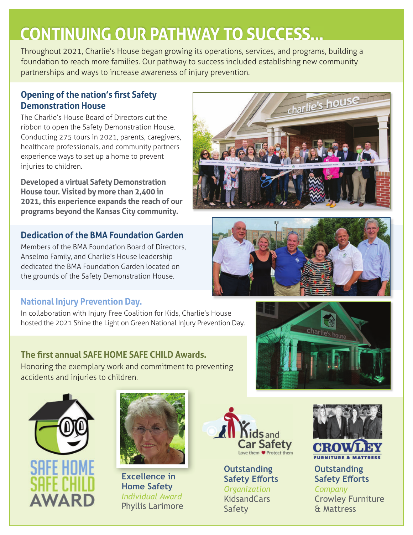# **CONTINUING OUR PATHWAY TO SUCCESS...**

Throughout 2021, Charlie's House began growing its operations, services, and programs, building a foundation to reach more families. Our pathway to success included establishing new community partnerships and ways to increase awareness of injury prevention.

## **2 Opening of the nation's first Safety Demonstration House**

The Charlie's House Board of Directors cut the ribbon to open the Safety Demonstration House. Conducting 275 tours in 2021, parents, caregivers, healthcare professionals, and community partners experience ways to set up a home to prevent injuries to children.

**Developed a virtual Safety Demonstration House tour. Visited by more than 2,400 in 2021, this experience expands the reach of our programs beyond the Kansas City community.**

## **Dedication of the BMA Foundation Garden**

Members of the BMA Foundation Board of Directors, Anselmo Family, and Charlie's House leadership dedicated the BMA Foundation Garden located on the grounds of the Safety Demonstration House.

## **National Injury Prevention Day.**

In collaboration with Injury Free Coalition for Kids, Charlie's House hosted the 2021 Shine the Light on Green National Injury Prevention Day.

# **The first annual SAFE HOME SAFE CHILD Awards.**

Honoring the exemplary work and commitment to preventing accidents and injuries to children.





**Excellence in Home Safety** *Individual Award* Phyllis Larimore



**Outstanding Safety Efforts** *Organization*  **KidsandCars** Safety



**Outstanding Safety Efforts** *Company*  Crowley Furniture & Mattress





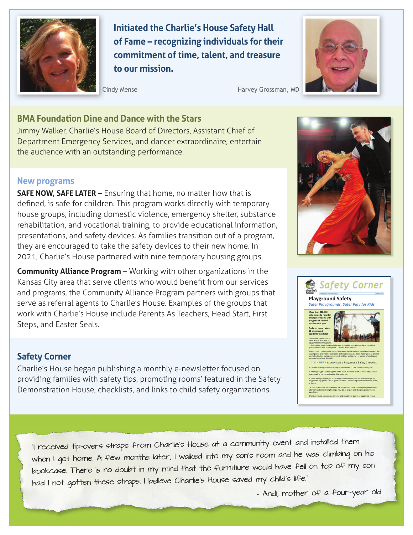

**Initiated the Charlie's House Safety Hall of Fame – recognizing individuals for their commitment of time, talent, and treasure to our mission.** 



Cindy Mense **Harvey Grossman**, MD

#### **BMA Foundation Dine and Dance with the Stars**

Jimmy Walker, Charlie's House Board of Directors, Assistant Chief of Department Emergency Services, and dancer extraordinaire, entertain the audience with an outstanding performance.

#### **New programs**

**SAFE NOW, SAFE LATER** – Ensuring that home, no matter how that is defined, is safe for children. This program works directly with temporary house groups, including domestic violence, emergency shelter, substance rehabilitation, and vocational training, to provide educational information, presentations, and safety devices. As families transition out of a program, they are encouraged to take the safety devices to their new home. In 2021, Charlie's House partnered with nine temporary housing groups.

**Community Alliance Program** – Working with other organizations in the Kansas City area that serve clients who would benefit from our services and programs, the Community Alliance Program partners with groups that serve as referral agents to Charlie's House. Examples of the groups that work with Charlie's House include Parents As Teachers, Head Start, First Steps, and Easter Seals.

#### **Safety Corner**

Charlie's House began publishing a monthly e-newsletter focused on providing families with safety tips, promoting rooms' featured in the Safety Demonstration House, checklists, and links to child safety organizations.





"I received tip-overs straps from Charlie's House at a community event and installed them when I got home. A few months later, I walked into my son's room and he was climbing on his bookcase. There is no doubt in my mind that the furnitiure would have fell on top of my son had I not gotten these straps. I believe Charlie's House saved my child's life."

– Andi, mother of a four-year old